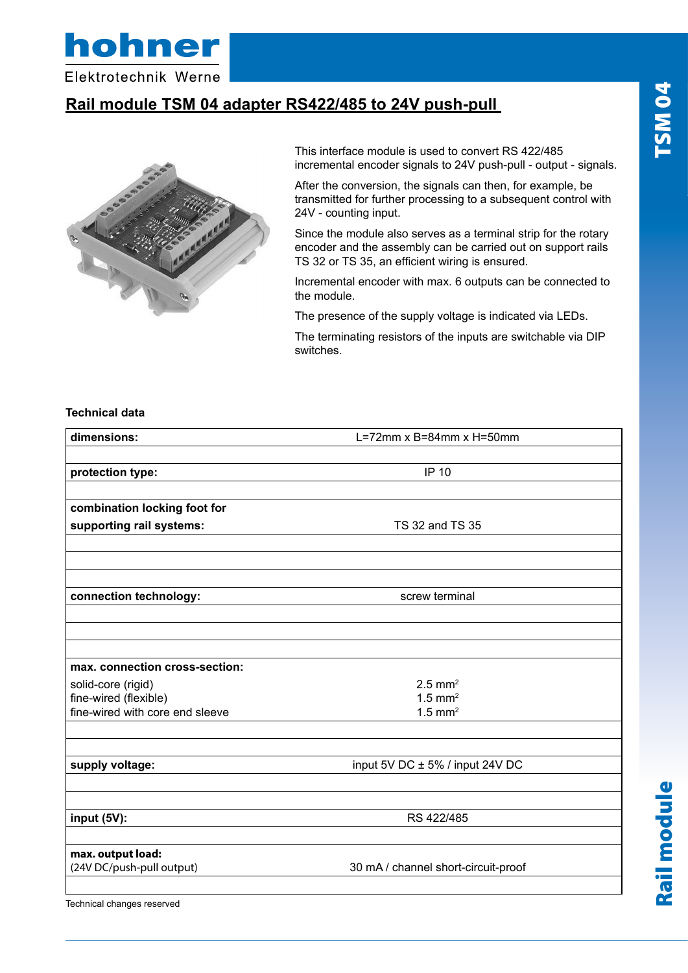TSM04 Rail module TSM 04

Rail module



Elektrotechnik Werne

# **Rail module TSM 04 adapter RS422/485 to 24V push-pull**



This interface module is used to convert RS 422/485 incremental encoder signals to 24V push-pull - output - signals.

After the conversion, the signals can then, for example, be transmitted for further processing to a subsequent control with 24V - counting input.

Since the module also serves as a terminal strip for the rotary encoder and the assembly can be carried out on support rails TS 32 or TS 35, an efficient wiring is ensured.

Incremental encoder with max. 6 outputs can be connected to the module.

The presence of the supply voltage is indicated via LEDs.

The terminating resistors of the inputs are switchable via DIP switches.

#### **Technical data**

| dimensions:                     | L=72mm $x$ B=84mm $x$ H=50mm        |  |
|---------------------------------|-------------------------------------|--|
|                                 |                                     |  |
| protection type:                | <b>IP 10</b>                        |  |
|                                 |                                     |  |
| combination locking foot for    |                                     |  |
| supporting rail systems:        | TS 32 and TS 35                     |  |
|                                 |                                     |  |
|                                 |                                     |  |
|                                 |                                     |  |
| connection technology:          | screw terminal                      |  |
|                                 |                                     |  |
|                                 |                                     |  |
|                                 |                                     |  |
| max. connection cross-section:  |                                     |  |
| solid-core (rigid)              | $2.5$ mm <sup>2</sup>               |  |
| fine-wired (flexible)           | $1.5$ mm <sup>2</sup>               |  |
| fine-wired with core end sleeve | $1.5$ mm <sup>2</sup>               |  |
|                                 |                                     |  |
| supply voltage:                 | input 5V DC ± 5% / input 24V DC     |  |
|                                 |                                     |  |
| input (5V):                     | RS 422/485                          |  |
| max. output load:               |                                     |  |
| (24V DC/push-pull output)       | 30 mA / channel short-circuit-proof |  |
| Technical changes reserved      |                                     |  |